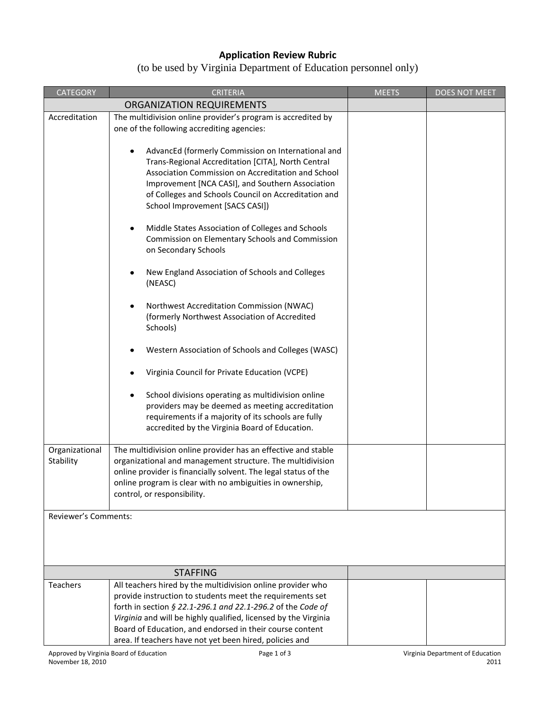## **Application Review Rubric**

## (to be used by Virginia Department of Education personnel only)

| <b>CATEGORY</b>             | <b>CRITERIA</b>                                                                                                                                                                                                                                                                                                                                                                   | <b>MEETS</b> | <b>DOES NOT MEET</b> |
|-----------------------------|-----------------------------------------------------------------------------------------------------------------------------------------------------------------------------------------------------------------------------------------------------------------------------------------------------------------------------------------------------------------------------------|--------------|----------------------|
|                             | <b>ORGANIZATION REQUIREMENTS</b>                                                                                                                                                                                                                                                                                                                                                  |              |                      |
| Accreditation               | The multidivision online provider's program is accredited by<br>one of the following accrediting agencies:                                                                                                                                                                                                                                                                        |              |                      |
|                             | AdvancEd (formerly Commission on International and<br>٠<br>Trans-Regional Accreditation [CITA], North Central<br>Association Commission on Accreditation and School<br>Improvement [NCA CASI], and Southern Association<br>of Colleges and Schools Council on Accreditation and<br>School Improvement [SACS CASI])                                                                |              |                      |
|                             | Middle States Association of Colleges and Schools<br>٠<br>Commission on Elementary Schools and Commission<br>on Secondary Schools                                                                                                                                                                                                                                                 |              |                      |
|                             | New England Association of Schools and Colleges<br>٠<br>(NEASC)                                                                                                                                                                                                                                                                                                                   |              |                      |
|                             | Northwest Accreditation Commission (NWAC)<br>٠<br>(formerly Northwest Association of Accredited<br>Schools)                                                                                                                                                                                                                                                                       |              |                      |
|                             | Western Association of Schools and Colleges (WASC)                                                                                                                                                                                                                                                                                                                                |              |                      |
|                             | Virginia Council for Private Education (VCPE)                                                                                                                                                                                                                                                                                                                                     |              |                      |
|                             | School divisions operating as multidivision online<br>٠<br>providers may be deemed as meeting accreditation<br>requirements if a majority of its schools are fully<br>accredited by the Virginia Board of Education.                                                                                                                                                              |              |                      |
| Organizational<br>Stability | The multidivision online provider has an effective and stable<br>organizational and management structure. The multidivision<br>online provider is financially solvent. The legal status of the<br>online program is clear with no ambiguities in ownership,<br>control, or responsibility.                                                                                        |              |                      |
| <b>Reviewer's Comments:</b> |                                                                                                                                                                                                                                                                                                                                                                                   |              |                      |
|                             | <b>STAFFING</b>                                                                                                                                                                                                                                                                                                                                                                   |              |                      |
| Teachers                    | All teachers hired by the multidivision online provider who<br>provide instruction to students meet the requirements set<br>forth in section § 22.1-296.1 and 22.1-296.2 of the Code of<br>Virginia and will be highly qualified, licensed by the Virginia<br>Board of Education, and endorsed in their course content<br>area. If teachers have not yet been hired, policies and |              |                      |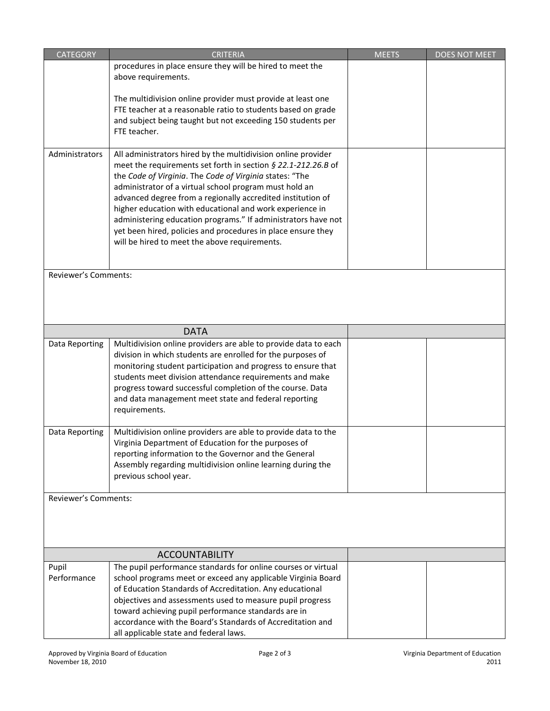| <b>CATEGORY</b>             | <b>CRITERIA</b>                                                                                                          | <b>MEETS</b> | <b>DOES NOT MEET</b> |  |  |
|-----------------------------|--------------------------------------------------------------------------------------------------------------------------|--------------|----------------------|--|--|
|                             | procedures in place ensure they will be hired to meet the                                                                |              |                      |  |  |
|                             | above requirements.                                                                                                      |              |                      |  |  |
|                             |                                                                                                                          |              |                      |  |  |
|                             | The multidivision online provider must provide at least one                                                              |              |                      |  |  |
|                             | FTE teacher at a reasonable ratio to students based on grade                                                             |              |                      |  |  |
|                             | and subject being taught but not exceeding 150 students per                                                              |              |                      |  |  |
|                             | FTE teacher.                                                                                                             |              |                      |  |  |
| Administrators              | All administrators hired by the multidivision online provider                                                            |              |                      |  |  |
|                             | meet the requirements set forth in section § 22.1-212.26.B of                                                            |              |                      |  |  |
|                             | the Code of Virginia. The Code of Virginia states: "The                                                                  |              |                      |  |  |
|                             | administrator of a virtual school program must hold an                                                                   |              |                      |  |  |
|                             | advanced degree from a regionally accredited institution of                                                              |              |                      |  |  |
|                             | higher education with educational and work experience in                                                                 |              |                      |  |  |
|                             | administering education programs." If administrators have not                                                            |              |                      |  |  |
|                             | yet been hired, policies and procedures in place ensure they                                                             |              |                      |  |  |
|                             | will be hired to meet the above requirements.                                                                            |              |                      |  |  |
|                             |                                                                                                                          |              |                      |  |  |
| <b>Reviewer's Comments:</b> |                                                                                                                          |              |                      |  |  |
|                             |                                                                                                                          |              |                      |  |  |
|                             |                                                                                                                          |              |                      |  |  |
|                             |                                                                                                                          |              |                      |  |  |
|                             | <b>DATA</b>                                                                                                              |              |                      |  |  |
| Data Reporting              | Multidivision online providers are able to provide data to each                                                          |              |                      |  |  |
|                             | division in which students are enrolled for the purposes of                                                              |              |                      |  |  |
|                             | monitoring student participation and progress to ensure that                                                             |              |                      |  |  |
|                             | students meet division attendance requirements and make                                                                  |              |                      |  |  |
|                             | progress toward successful completion of the course. Data                                                                |              |                      |  |  |
|                             | and data management meet state and federal reporting                                                                     |              |                      |  |  |
|                             | requirements.                                                                                                            |              |                      |  |  |
| Data Reporting              | Multidivision online providers are able to provide data to the                                                           |              |                      |  |  |
|                             | Virginia Department of Education for the purposes of                                                                     |              |                      |  |  |
|                             | reporting information to the Governor and the General                                                                    |              |                      |  |  |
|                             | Assembly regarding multidivision online learning during the                                                              |              |                      |  |  |
|                             | previous school year.                                                                                                    |              |                      |  |  |
| Reviewer's Comments:        |                                                                                                                          |              |                      |  |  |
|                             |                                                                                                                          |              |                      |  |  |
|                             |                                                                                                                          |              |                      |  |  |
|                             |                                                                                                                          |              |                      |  |  |
|                             |                                                                                                                          |              |                      |  |  |
|                             | <b>ACCOUNTABILITY</b>                                                                                                    |              |                      |  |  |
| Pupil                       | The pupil performance standards for online courses or virtual                                                            |              |                      |  |  |
| Performance                 | school programs meet or exceed any applicable Virginia Board<br>of Education Standards of Accreditation. Any educational |              |                      |  |  |
|                             | objectives and assessments used to measure pupil progress                                                                |              |                      |  |  |
|                             | toward achieving pupil performance standards are in                                                                      |              |                      |  |  |
|                             | accordance with the Board's Standards of Accreditation and                                                               |              |                      |  |  |
|                             | all applicable state and federal laws.                                                                                   |              |                      |  |  |